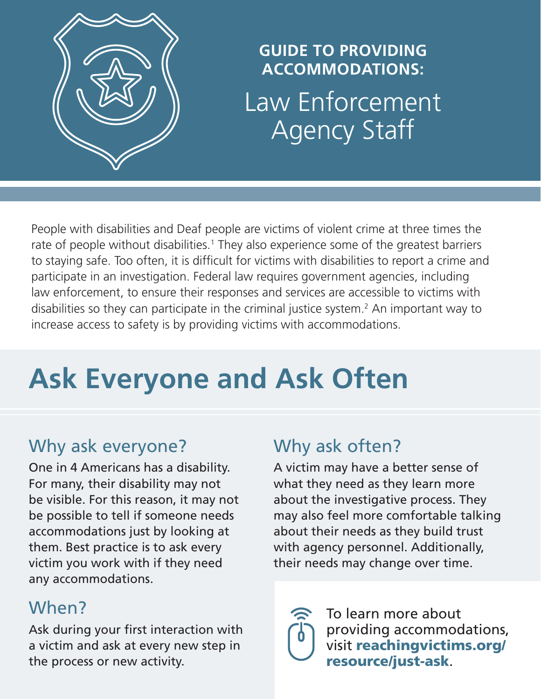

### **GUIDE TO PROVIDING ACCOMMODATIONS:** Law Enforcement Agency Staff

People with disabilities and Deaf people are victims of violent crime at three times the rate of people without disabilities.<sup>1</sup> They also experience some of the greatest barriers to staying safe. Too often, it is difficult for victims with disabilities to report a crime and participate in an investigation. Federal law requires government agencies, including law enforcement, to ensure their responses and services are accessible to victims with disabilities so they can participate in the criminal justice system.<sup>2</sup> An important way to increase access to safety is by providing victims with accommodations.

# **Ask Everyone and Ask Often**

### Why ask everyone?

One in 4 Americans has a disability. For many, their disability may not be visible. For this reason, it may not be possible to tell if someone needs accommodations just by looking at them. Best practice is to ask every victim you work with if they need any accommodations.

### When?

Ask during your first interaction with a victim and ask at every new step in the process or new activity.

#### Why ask often?

A victim may have a better sense of what they need as they learn more about the investigative process. They may also feel more comfortable talking about their needs as they build trust with agency personnel. Additionally, their needs may change over time.



To learn more about providing accommodations, visit [reachingvictims.org/](http://reachingvictims.org/resource/accommodations-law-enforcement/)  [resource/just-ask](http://reachingvictims.org/resource/accommodations-law-enforcement/).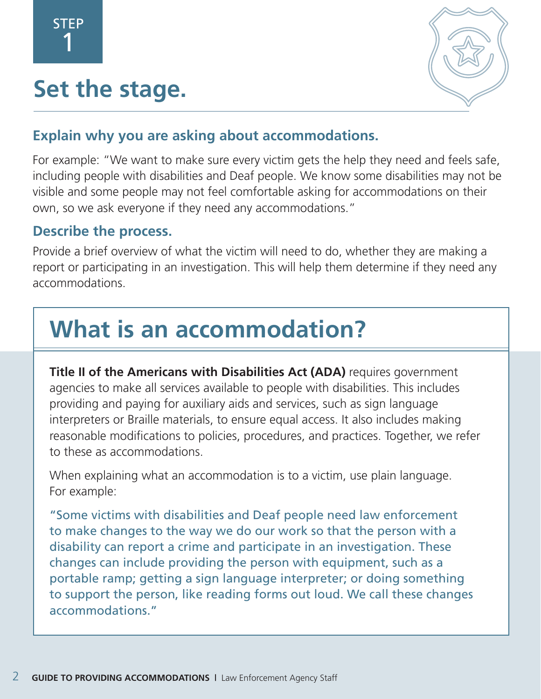# **Set the stage.**



#### **Explain why you are asking about accommodations.**

For example: "We want to make sure every victim gets the help they need and feels safe, including people with disabilities and Deaf people. We know some disabilities may not be visible and some people may not feel comfortable asking for accommodations on their own, so we ask everyone if they need any accommodations."

#### **Describe the process.**

Provide a brief overview of what the victim will need to do, whether they are making a report or participating in an investigation. This will help them determine if they need any accommodations.

# **What is an accommodation?**

**Title II of the Americans with Disabilities Act (ADA)** requires government agencies to make all services available to people with disabilities. This includes providing and paying for auxiliary aids and services, such as sign language interpreters or Braille materials, to ensure equal access. It also includes making reasonable modifications to policies, procedures, and practices. Together, we refer to these as accommodations.

When explaining what an accommodation is to a victim, use plain language. For example:

"Some victims with disabilities and Deaf people need law enforcement to make changes to the way we do our work so that the person with a disability can report a crime and participate in an investigation. These changes can include providing the person with equipment, such as a portable ramp; getting a sign language interpreter; or doing something to support the person, like reading forms out loud. We call these changes accommodations."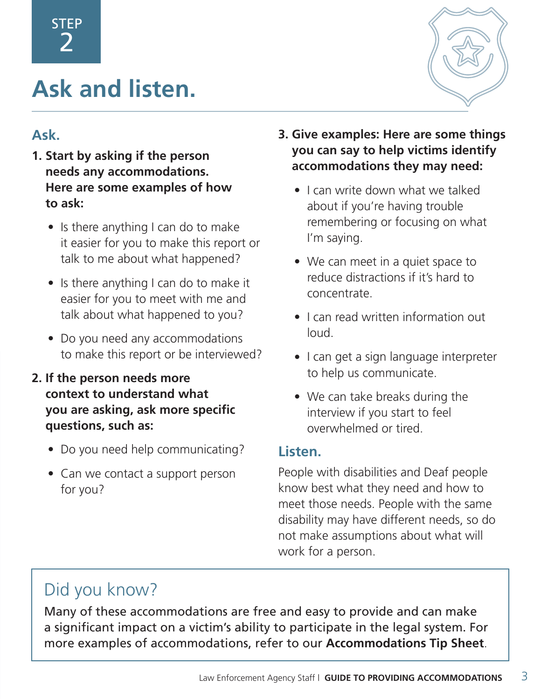# **Ask and listen.**



#### **Ask.**

- **1. Start by asking if the person needs any accommodations. Here are some examples of how to ask:**
	- Is there anything I can do to make it easier for you to make this report or talk to me about what happened?
	- Is there anything I can do to make it easier for you to meet with me and talk about what happened to you?
	- Do you need any accommodations to make this report or be interviewed?
- **2. If the person needs more context to understand what you are asking, ask more specific questions, such as:**
	- Do you need help communicating?
	- Can we contact a support person for you?

#### **3. Give examples: Here are some things you can say to help victims identify accommodations they may need:**

- I can write down what we talked about if you're having trouble remembering or focusing on what I'm saying.
- We can meet in a quiet space to reduce distractions if it's hard to concentrate.
- I can read written information out loud.
- I can get a sign language interpreter to help us communicate.
- We can take breaks during the interview if you start to feel overwhelmed or tired.

#### **Listen.**

People with disabilities and Deaf people know best what they need and how to meet those needs. People with the same disability may have different needs, so do not make assumptions about what will work for a person.

### Did you know?

Many of these accommodations are free and easy to provide and can make a significant impact on a victim's ability to participate in the legal system. For more examples of accommodations, refer to our **[Accommodations Tip Sheet](http://reachingvictims.org/resource/just-ask)**.